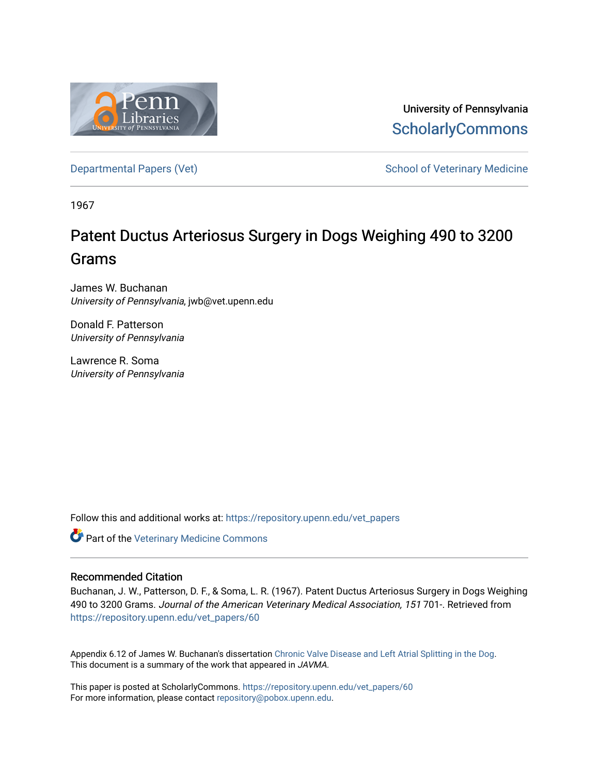

University of Pennsylvania **ScholarlyCommons** 

[Departmental Papers \(Vet\)](https://repository.upenn.edu/vet_papers) and School of Veterinary Medicine

1967

# Patent Ductus Arteriosus Surgery in Dogs Weighing 490 to 3200 Grams

James W. Buchanan University of Pennsylvania, jwb@vet.upenn.edu

Donald F. Patterson University of Pennsylvania

Lawrence R. Soma University of Pennsylvania

Follow this and additional works at: [https://repository.upenn.edu/vet\\_papers](https://repository.upenn.edu/vet_papers?utm_source=repository.upenn.edu%2Fvet_papers%2F60&utm_medium=PDF&utm_campaign=PDFCoverPages) 

**Part of the Veterinary Medicine Commons** 

#### Recommended Citation

Buchanan, J. W., Patterson, D. F., & Soma, L. R. (1967). Patent Ductus Arteriosus Surgery in Dogs Weighing 490 to 3200 Grams. Journal of the American Veterinary Medical Association, 151 701-. Retrieved from [https://repository.upenn.edu/vet\\_papers/60](https://repository.upenn.edu/vet_papers/60?utm_source=repository.upenn.edu%2Fvet_papers%2F60&utm_medium=PDF&utm_campaign=PDFCoverPages)

Appendix 6.12 of James W. Buchanan's dissertation [Chronic Valve Disease and Left Atrial Splitting in the Dog](http://repository.upenn.edu/vet_papers/31/). This document is a summary of the work that appeared in JAVMA.

This paper is posted at ScholarlyCommons. [https://repository.upenn.edu/vet\\_papers/60](https://repository.upenn.edu/vet_papers/60) For more information, please contact [repository@pobox.upenn.edu.](mailto:repository@pobox.upenn.edu)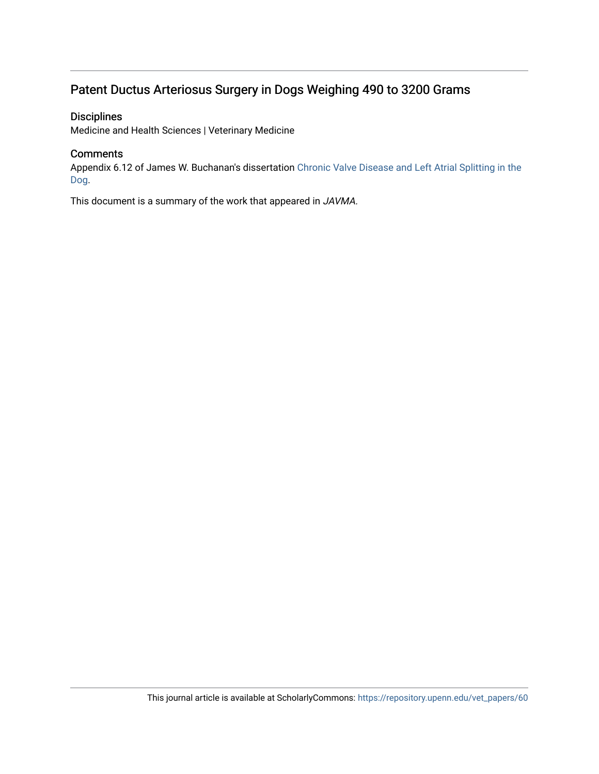## Patent Ductus Arteriosus Surgery in Dogs Weighing 490 to 3200 Grams

### **Disciplines**

Medicine and Health Sciences | Veterinary Medicine

#### **Comments**

Appendix 6.12 of James W. Buchanan's dissertation [Chronic Valve Disease and Left Atrial Splitting in the](http://repository.upenn.edu/vet_papers/31/) [Dog.](http://repository.upenn.edu/vet_papers/31/)

This document is a summary of the work that appeared in JAVMA.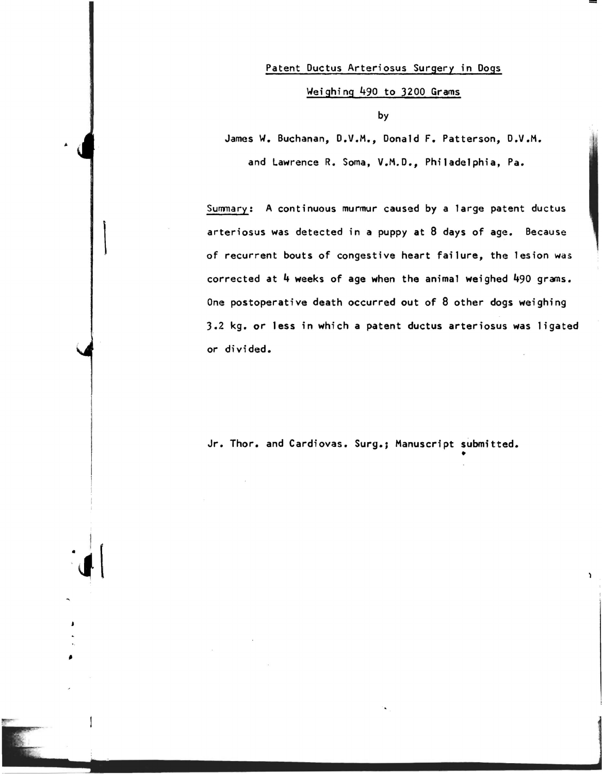#### Patent Ductus Arteriosus Surgery in Dogs

#### Weighing 490 to 3200 Grams

by

James W. Buchanan, D.V.M., Donald F. Patterson, D.V.M.

and Lawrence R. Soma, V.M.D., Philadelphia, Pa.

Summary: A continuous murmur caused by a large patent ductus arteriosus was detected in a puppy at 8 days of age. Because of recurrent bouts of congestive heart failure, the lesion was corrected at 4 weeks of age when the animal weighed 490 grams. One postoperative death occurred out of 8 other dogs weighing 3.2 kg. or less in which a patent ductus arteriosus was ligated or divided.

Jr. Thor. and Cardiovas. Surg.; Manuscript submitted. •